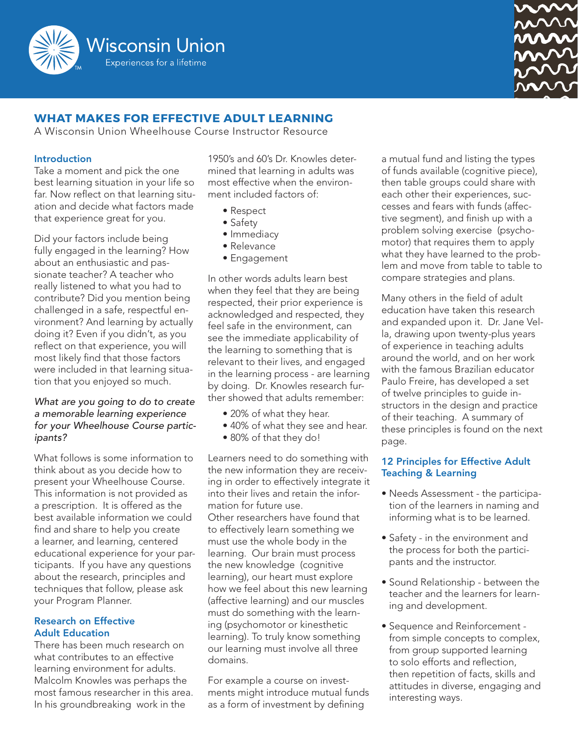



# **WHAT MAKES FOR EFFECTIVE ADULT LEARNING**

A Wisconsin Union Wheelhouse Course Instructor Resource

#### Introduction

Take a moment and pick the one best learning situation in your life so far. Now reflect on that learning situation and decide what factors made that experience great for you.

Did your factors include being fully engaged in the learning? How about an enthusiastic and passionate teacher? A teacher who really listened to what you had to contribute? Did you mention being challenged in a safe, respectful environment? And learning by actually doing it? Even if you didn't, as you reflect on that experience, you will most likely find that those factors were included in that learning situation that you enjoyed so much.

### *What are you going to do to create a memorable learning experience for your Wheelhouse Course participants?*

What follows is some information to think about as you decide how to present your Wheelhouse Course. This information is not provided as a prescription. It is offered as the best available information we could find and share to help you create a learner, and learning, centered educational experience for your participants. If you have any questions about the research, principles and techniques that follow, please ask your Program Planner.

### Research on Effective Adult Education

There has been much research on what contributes to an effective learning environment for adults. Malcolm Knowles was perhaps the most famous researcher in this area. In his groundbreaking work in the

1950's and 60's Dr. Knowles determined that learning in adults was most effective when the environment included factors of:

- Respect
- Safety
- Immediacy
- Relevance
- Engagement

In other words adults learn best when they feel that they are being respected, their prior experience is acknowledged and respected, they feel safe in the environment, can see the immediate applicability of the learning to something that is relevant to their lives, and engaged in the learning process - are learning by doing. Dr. Knowles research further showed that adults remember:

- 20% of what they hear.
- 40% of what they see and hear.
- 80% of that they do!

Learners need to do something with the new information they are receiving in order to effectively integrate it into their lives and retain the information for future use. Other researchers have found that to effectively learn something we must use the whole body in the learning. Our brain must process the new knowledge (cognitive learning), our heart must explore how we feel about this new learning (affective learning) and our muscles must do something with the learning (psychomotor or kinesthetic learning). To truly know something our learning must involve all three domains.

For example a course on investments might introduce mutual funds as a form of investment by defining

a mutual fund and listing the types of funds available (cognitive piece), then table groups could share with each other their experiences, successes and fears with funds (affective segment), and finish up with a problem solving exercise (psychomotor) that requires them to apply what they have learned to the problem and move from table to table to compare strategies and plans.

Many others in the field of adult education have taken this research and expanded upon it. Dr. Jane Vella, drawing upon twenty-plus years of experience in teaching adults around the world, and on her work with the famous Brazilian educator Paulo Freire, has developed a set of twelve principles to guide instructors in the design and practice of their teaching. A summary of these principles is found on the next page.

## 12 Principles for Effective Adult Teaching & Learning

- Needs Assessment the participation of the learners in naming and informing what is to be learned.
- Safety in the environment and the process for both the participants and the instructor.
- Sound Relationship between the teacher and the learners for learning and development.
- Sequence and Reinforcement from simple concepts to complex, from group supported learning to solo efforts and reflection, then repetition of facts, skills and attitudes in diverse, engaging and interesting ways.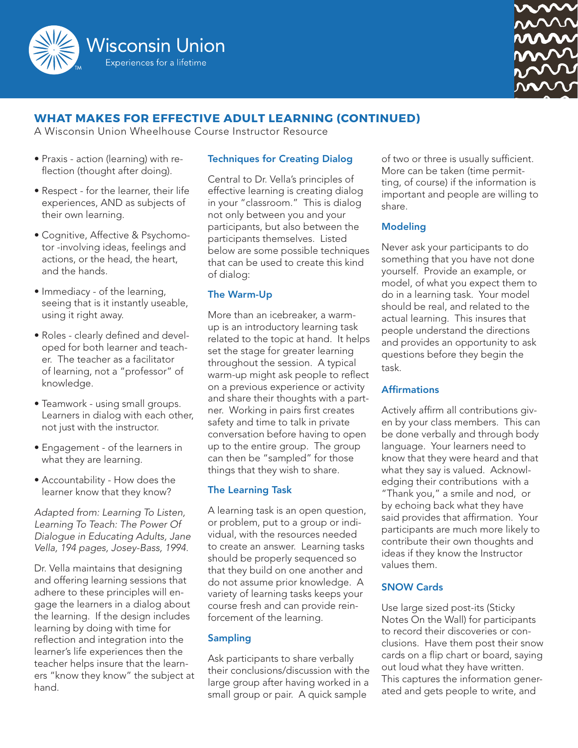



# **WHAT MAKES FOR EFFECTIVE ADULT LEARNING (CONTINUED)**

A Wisconsin Union Wheelhouse Course Instructor Resource

- Praxis action (learning) with reflection (thought after doing).
- Respect for the learner, their life experiences, AND as subjects of their own learning.
- Cognitive, Affective & Psychomotor -involving ideas, feelings and actions, or the head, the heart, and the hands.
- Immediacy of the learning, seeing that is it instantly useable, using it right away.
- Roles clearly defined and developed for both learner and teacher. The teacher as a facilitator of learning, not a "professor" of knowledge.
- Teamwork using small groups. Learners in dialog with each other, not just with the instructor.
- Engagement of the learners in what they are learning.
- Accountability How does the learner know that they know?

*Adapted from: Learning To Listen, Learning To Teach: The Power Of Dialogue in Educating Adults, Jane Vella, 194 pages, Josey-Bass, 1994.*

Dr. Vella maintains that designing and offering learning sessions that adhere to these principles will engage the learners in a dialog about the learning. If the design includes learning by doing with time for reflection and integration into the learner's life experiences then the teacher helps insure that the learners "know they know" the subject at hand.

## Techniques for Creating Dialog

Central to Dr. Vella's principles of effective learning is creating dialog in your "classroom." This is dialog not only between you and your participants, but also between the participants themselves. Listed below are some possible techniques that can be used to create this kind of dialog:

#### The Warm-Up

More than an icebreaker, a warmup is an introductory learning task related to the topic at hand. It helps set the stage for greater learning throughout the session. A typical warm-up might ask people to reflect on a previous experience or activity and share their thoughts with a partner. Working in pairs first creates safety and time to talk in private conversation before having to open up to the entire group. The group can then be "sampled" for those things that they wish to share.

#### The Learning Task

A learning task is an open question, or problem, put to a group or individual, with the resources needed to create an answer. Learning tasks should be properly sequenced so that they build on one another and do not assume prior knowledge. A variety of learning tasks keeps your course fresh and can provide reinforcement of the learning.

#### Sampling

Ask participants to share verbally their conclusions/discussion with the large group after having worked in a small group or pair. A quick sample

of two or three is usually sufficient. More can be taken (time permitting, of course) if the information is important and people are willing to share.

#### Modeling

Never ask your participants to do something that you have not done yourself. Provide an example, or model, of what you expect them to do in a learning task. Your model should be real, and related to the actual learning. This insures that people understand the directions and provides an opportunity to ask questions before they begin the task.

#### **Affirmations**

Actively affirm all contributions given by your class members. This can be done verbally and through body language. Your learners need to know that they were heard and that what they say is valued. Acknowledging their contributions with a "Thank you," a smile and nod, or by echoing back what they have said provides that affirmation. Your participants are much more likely to contribute their own thoughts and ideas if they know the Instructor values them.

#### SNOW Cards

Use large sized post-its (Sticky Notes On the Wall) for participants to record their discoveries or conclusions. Have them post their snow cards on a flip chart or board, saying out loud what they have written. This captures the information generated and gets people to write, and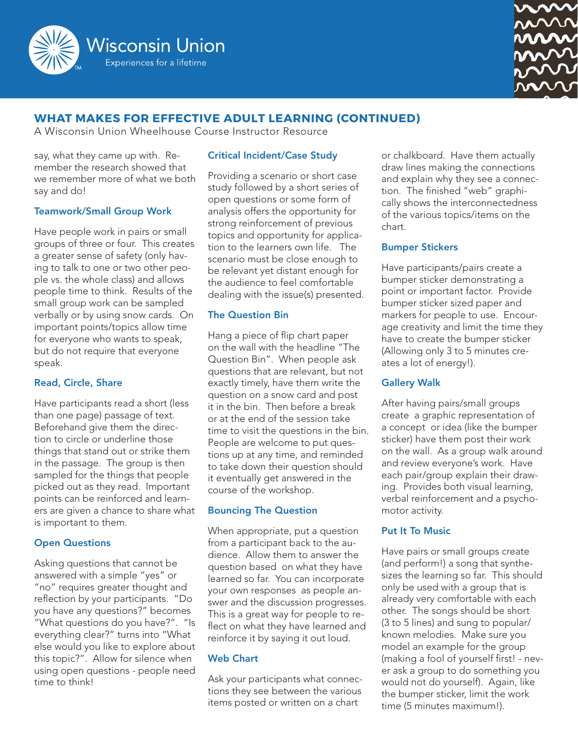



# **WHAT MAKES FOR EFFECTIVE ADULT LEARNING (CONTINUED)**

A Wisconsin Union Wheelhouse Course Instructor Resource

say, what they came up with. Remember the research showed that we remember more of what we both say and do!

#### Teamwork/Small Group Work

Have people work in pairs or small groups of three or four. This creates a greater sense of safety (only having to talk to one or two other people vs. the whole class) and allows people time to think. Results of the small group work can be sampled verbally or by using snow cards. On important points/topics allow time for everyone who wants to speak, but do not require that everyone speak.

#### Read, Circle, Share

Have participants read a short (less than one page) passage of text. Beforehand give them the direction to circle or underline those things that stand out or strike them in the passage. The group is then sampled for the things that people picked out as they read. Important points can be reinforced and learners are given a chance to share what is important to them.

#### Open Questions

Asking questions that cannot be answered with a simple "yes" or "no" requires greater thought and reflection by your participants. "Do you have any questions?" becomes "What questions do you have?". "Is everything clear?" turns into "What else would you like to explore about this topic?". Allow for silence when using open questions - people need time to think!

## Critical Incident/Case Study

Providing a scenario or short case study followed by a short series of open questions or some form of analysis offers the opportunity for strong reinforcement of previous topics and opportunity for application to the learners own life. The scenario must be close enough to be relevant yet distant enough for the audience to feel comfortable dealing with the issue(s) presented.

#### The Question Bin

Hang a piece of flip chart paper on the wall with the headline "The Question Bin". When people ask questions that are relevant, but not exactly timely, have them write the question on a snow card and post it in the bin. Then before a break or at the end of the session take time to visit the questions in the bin. People are welcome to put questions up at any time, and reminded to take down their question should it eventually get answered in the course of the workshop.

#### Bouncing The Question

When appropriate, put a question from a participant back to the audience. Allow them to answer the question based on what they have learned so far. You can incorporate your own responses as people answer and the discussion progresses. This is a great way for people to reflect on what they have learned and reinforce it by saying it out loud.

#### Web Chart

Ask your participants what connections they see between the various items posted or written on a chart

or chalkboard. Have them actually draw lines making the connections and explain why they see a connection. The finished "web" graphically shows the interconnectedness of the various topics/items on the chart.

#### Bumper Stickers

Have participants/pairs create a bumper sticker demonstrating a point or important factor. Provide bumper sticker sized paper and markers for people to use. Encourage creativity and limit the time they have to create the bumper sticker (Allowing only 3 to 5 minutes creates a lot of energy!).

#### Gallery Walk

After having pairs/small groups create a graphic representation of a concept or idea (like the bumper sticker) have them post their work on the wall. As a group walk around and review everyone's work. Have each pair/group explain their drawing. Provides both visual learning, verbal reinforcement and a psychomotor activity.

#### Put It To Music

Have pairs or small groups create (and perform!) a song that synthesizes the learning so far. This should only be used with a group that is already very comfortable with each other. The songs should be short (3 to 5 lines) and sung to popular/ known melodies. Make sure you model an example for the group (making a fool of yourself first! - never ask a group to do something you would not do yourself). Again, like the bumper sticker, limit the work time (5 minutes maximum!).